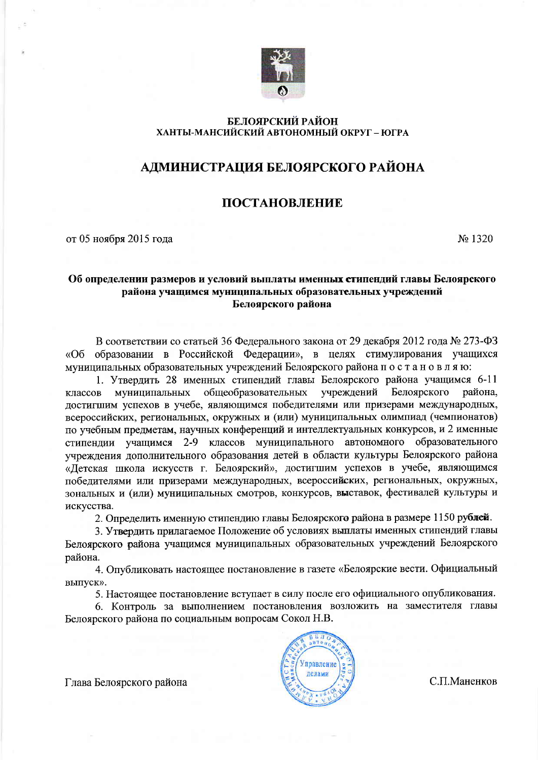

#### БЕЛОЯРСКИЙ РАЙОН ХАНТЫ-МАНСИЙСКИЙ АВТОНОМНЫЙ ОКРУГ – ЮГРА

## АДМИНИСТРАЦИЯ БЕЛОЯРСКОГО РАЙОНА

## **ПОСТАНОВЛЕНИЕ**

от 05 ноября 2015 года

No 1320

#### Об определении размеров и условий выплаты именных стипендий главы Белоярского района учащимся муниципальных образовательных учреждений Белоярского района

В соответствии со статьей 36 Федерального закона от 29 декабря 2012 года № 273-ФЗ образовании в Российской Федерации», в целях стимулирования учащихся «Об муниципальных образовательных учреждений Белоярского района постановляю:

1. Утвердить 28 именных стипендий главы Белоярского района учащимся 6-11 обшеобразовательных учреждений Белоярского муниципальных района. классов достигшим успехов в учебе, являющимся победителями или призерами международных, всероссийских, региональных, окружных и (или) муниципальных олимпиад (чемпионатов) по учебным предметам, научных конференций и интеллектуальных конкурсов, и 2 именные стипендии учащимся 2-9 классов муниципального автономного образовательного учреждения дополнительного образования детей в области культуры Белоярского района «Детская школа искусств г. Белоярский», достигшим успехов в учебе, являющимся победителями или призерами международных, всероссийских, региональных, окружных, зональных и (или) муниципальных смотров, конкурсов, выставок, фестивалей культуры и искусства.

2. Определить именную стипендию главы Белоярского района в размере 1150 рублей.

3. Утвердить прилагаемое Положение об условиях выплаты именных стипендий главы Белоярского района учащимся муниципальных образовательных учреждений Белоярского района.

4. Опубликовать настоящее постановление в газете «Белоярские вести. Официальный выпуск».

5. Настоящее постановление вступает в силу после его официального опубликования.

6. Контроль за выполнением постановления возложить на заместителя главы Белоярского района по социальным вопросам Сокол Н.В.



С.П.Маненков

Глава Белоярского района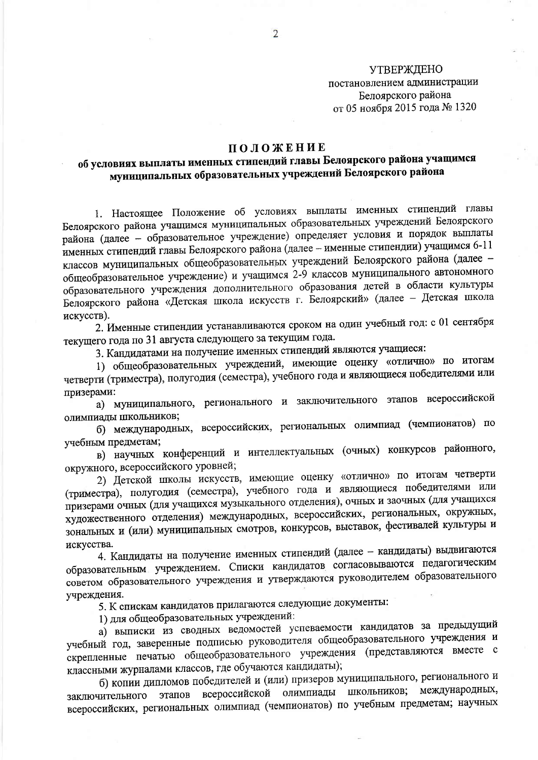**УТВЕРЖДЕНО** постановлением администрации Белоярского района от 05 ноября 2015 года № 1320

### ПОЛОЖЕНИЕ

# об условиях выплаты именных стипендий главы Белоярского района учащимся муниципальных образовательных учреждений Белоярского района

1. Настоящее Положение об условиях выплаты именных стипендий главы Белоярского района учащимся муниципальных образовательных учреждений Белоярского района (далее - образовательное учреждение) определяет условия и порядок выплаты именных стипендий главы Белоярского района (далее - именные стипендии) учащимся 6-11 классов муниципальных общеобразовательных учреждений Белоярского района (далее общеобразовательное учреждение) и учащимся 2-9 классов муниципального автономного образовательного учреждения дополнительного образования детей в области культуры Белоярского района «Детская школа искусств г. Белоярский» (далее - Детская школа искусств).

2. Именные стипендии устанавливаются сроком на один учебный год: с 01 сентября текущего года по 31 августа следующего за текущим года.

3. Кандидатами на получение именных стипендий являются учащиеся:

1) общеобразовательных учреждений, имеющие оценку «отлично» по итогам четверти (триместра), полугодия (семестра), учебного года и являющиеся победителями или призерами:

а) муниципального, регионального и заключительного этапов всероссийской олимпиады школьников;

б) международных, всероссийских, региональных олимпиад (чемпионатов) по учебным предметам;

в) научных конференций и интеллектуальных (очных) конкурсов районного, окружного, всероссийского уровней;

2) Детской школы искусств, имеющие оценку «отлично» по итогам четверти (триместра), полугодия (семестра), учебного года и являющиеся победителями или призерами очных (для учащихся музыкального отделения), очных и заочных (для учащихся художественного отделения) международных, всероссийских, региональных, окружных, зональных и (или) муниципальных смотров, конкурсов, выставок, фестивалей культуры и искусства.

4. Кандидаты на получение именных стипендий (далее - кандидаты) выдвигаются образовательным учреждением. Списки кандидатов согласовываются педагогическим советом образовательного учреждения и утверждаются руководителем образовательного учреждения.

5. К спискам кандидатов прилагаются следующие документы:

1) для общеобразовательных учреждений:

а) выписки из сводных ведомостей успеваемости кандидатов за предыдущий учебный год, заверенные подписью руководителя общеобразовательного учреждения и скрепленные печатью общеобразовательного учреждения (представляются вместе с классными журналами классов, где обучаются кандидаты);

б) копии дипломов победителей и (или) призеров муниципального, регионального и этапов всероссийской олимпиады школьников; международных, заключительного всероссийских, региональных олимпиад (чемпионатов) по учебным предметам; научных